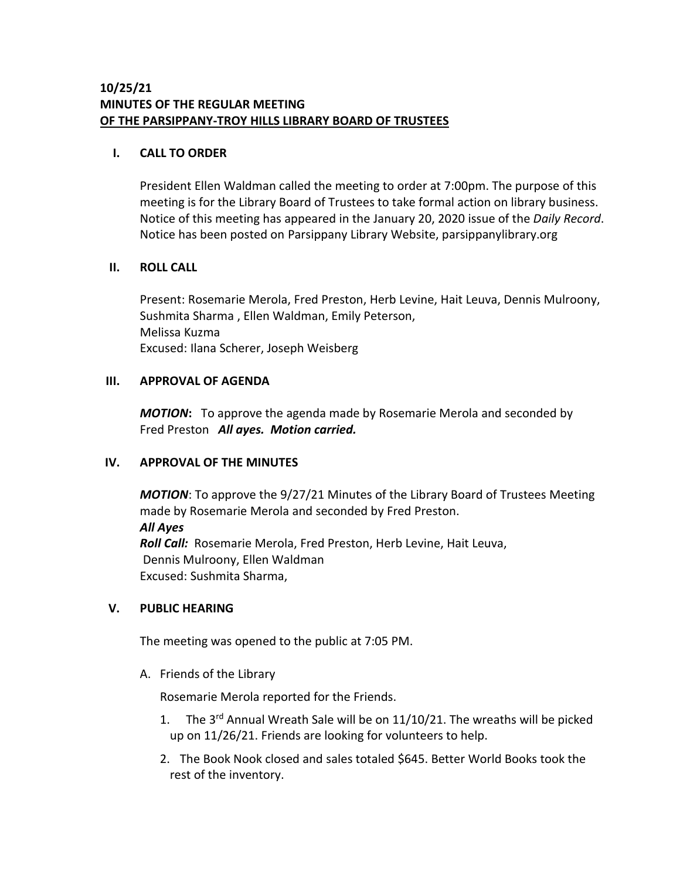## **I. CALL TO ORDER**

President Ellen Waldman called the meeting to order at 7:00pm. The purpose of this meeting is for the Library Board of Trustees to take formal action on library business. Notice of this meeting has appeared in the January 20, 2020 issue of the *Daily Record*. Notice has been posted on Parsippany Library Website, parsippanylibrary.org

# **II. ROLL CALL**

Present: Rosemarie Merola, Fred Preston, Herb Levine, Hait Leuva, Dennis Mulroony, Sushmita Sharma , Ellen Waldman, Emily Peterson, Melissa Kuzma Excused: Ilana Scherer, Joseph Weisberg

# **III. APPROVAL OF AGENDA**

*MOTION***:** To approve the agenda made by Rosemarie Merola and seconded by Fred Preston *All ayes. Motion carried.*

# **IV. APPROVAL OF THE MINUTES**

*MOTION*: To approve the 9/27/21 Minutes of the Library Board of Trustees Meeting made by Rosemarie Merola and seconded by Fred Preston. *All Ayes Roll Call:* Rosemarie Merola, Fred Preston, Herb Levine, Hait Leuva, Dennis Mulroony, Ellen Waldman Excused: Sushmita Sharma,

## **V. PUBLIC HEARING**

The meeting was opened to the public at 7:05 PM.

A. Friends of the Library

Rosemarie Merola reported for the Friends.

- 1. The 3<sup>rd</sup> Annual Wreath Sale will be on 11/10/21. The wreaths will be picked up on 11/26/21. Friends are looking for volunteers to help.
- 2. The Book Nook closed and sales totaled \$645. Better World Books took the rest of the inventory.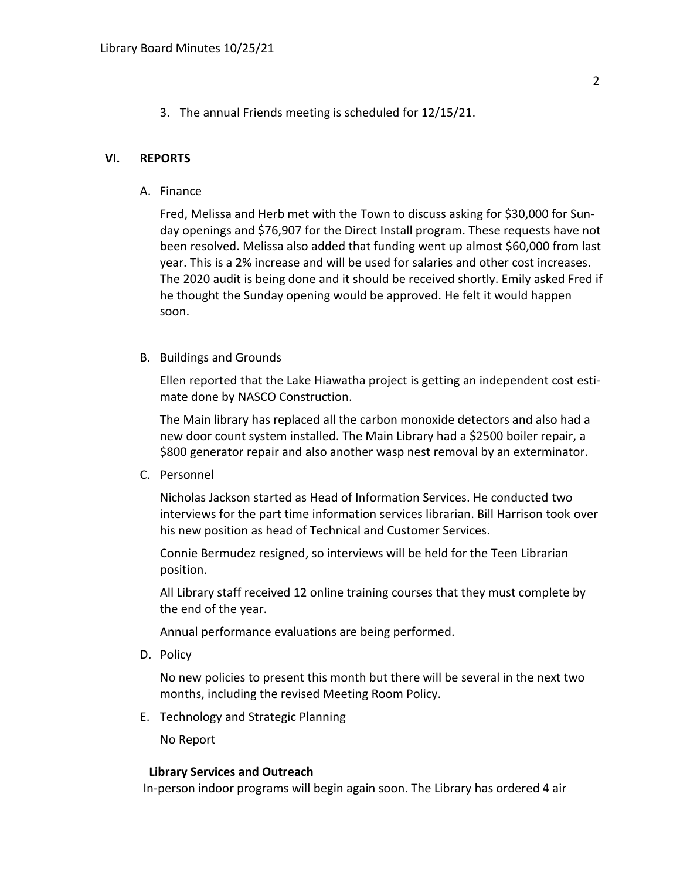3. The annual Friends meeting is scheduled for 12/15/21.

#### **VI. REPORTS**

A. Finance

Fred, Melissa and Herb met with the Town to discuss asking for \$30,000 for Sunday openings and \$76,907 for the Direct Install program. These requests have not been resolved. Melissa also added that funding went up almost \$60,000 from last year. This is a 2% increase and will be used for salaries and other cost increases. The 2020 audit is being done and it should be received shortly. Emily asked Fred if he thought the Sunday opening would be approved. He felt it would happen soon.

B. Buildings and Grounds

Ellen reported that the Lake Hiawatha project is getting an independent cost estimate done by NASCO Construction.

The Main library has replaced all the carbon monoxide detectors and also had a new door count system installed. The Main Library had a \$2500 boiler repair, a \$800 generator repair and also another wasp nest removal by an exterminator.

C. Personnel

Nicholas Jackson started as Head of Information Services. He conducted two interviews for the part time information services librarian. Bill Harrison took over his new position as head of Technical and Customer Services.

Connie Bermudez resigned, so interviews will be held for the Teen Librarian position.

All Library staff received 12 online training courses that they must complete by the end of the year.

Annual performance evaluations are being performed.

D. Policy

No new policies to present this month but there will be several in the next two months, including the revised Meeting Room Policy.

E. Technology and Strategic Planning

No Report

#### **Library Services and Outreach**

In-person indoor programs will begin again soon. The Library has ordered 4 air